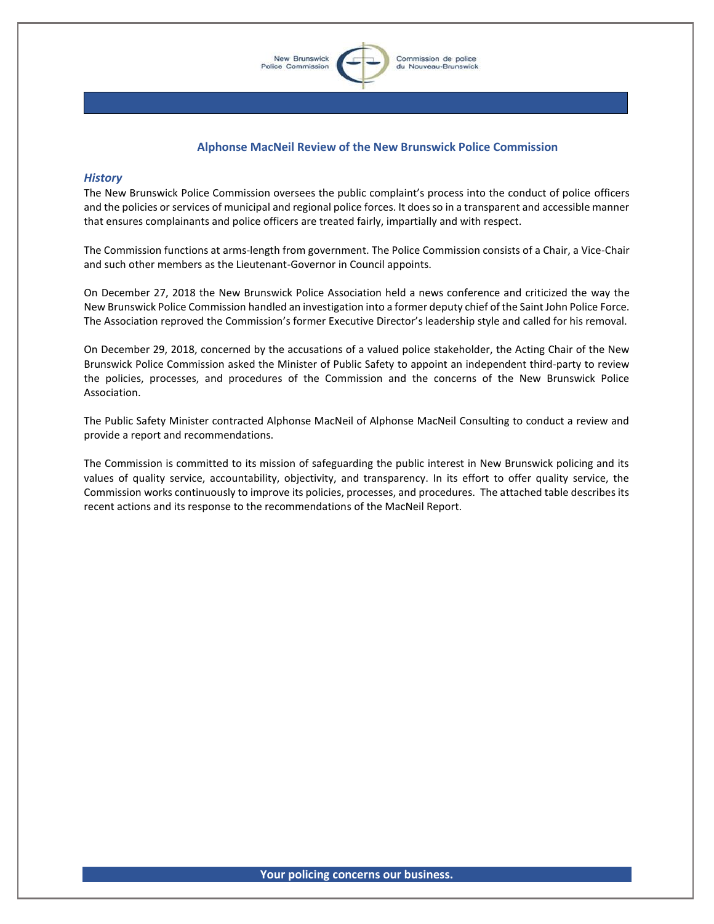

## **Alphonse MacNeil Review of the New Brunswick Police Commission**

## *History*

The New Brunswick Police Commission oversees the public complaint's process into the conduct of police officers and the policies or services of municipal and regional police forces. It does so in a transparent and accessible manner that ensures complainants and police officers are treated fairly, impartially and with respect.

The Commission functions at arms-length from government. The Police Commission consists of a Chair, a Vice-Chair and such other members as the Lieutenant-Governor in Council appoints.

On December 27, 2018 the New Brunswick Police Association held a news conference and criticized the way the New Brunswick Police Commission handled an investigation into a former deputy chief of the Saint John Police Force. The Association reproved the Commission's former Executive Director's leadership style and called for his removal.

On December 29, 2018, concerned by the accusations of a valued police stakeholder, the Acting Chair of the New Brunswick Police Commission asked the Minister of Public Safety to appoint an independent third-party to review the policies, processes, and procedures of the Commission and the concerns of the New Brunswick Police Association.

The Public Safety Minister contracted Alphonse MacNeil of Alphonse MacNeil Consulting to conduct a review and provide a report and recommendations.

The Commission is committed to its mission of safeguarding the public interest in New Brunswick policing and its values of quality service, accountability, objectivity, and transparency. In its effort to offer quality service, the Commission works continuously to improve its policies, processes, and procedures. The attached table describes its recent actions and its response to the recommendations of the MacNeil Report.